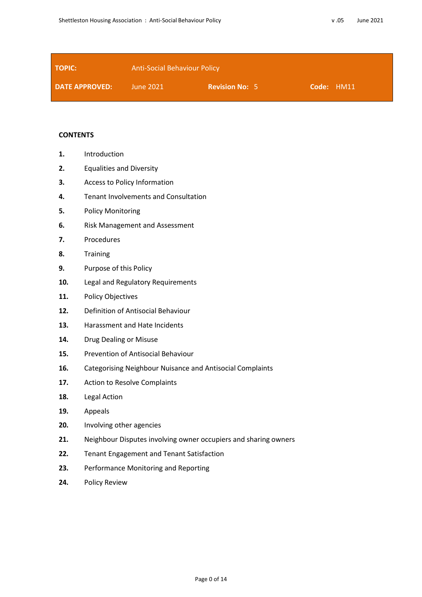| <b>TOPIC:</b>         | <b>Anti-Social Behaviour Policy</b> |                       |            |  |
|-----------------------|-------------------------------------|-----------------------|------------|--|
| <b>DATE APPROVED:</b> | June 2021                           | <b>Revision No: 5</b> | Code: HM11 |  |

### **CONTENTS**

- **1.** Introduction
- **2.** Equalities and Diversity
- **3.** Access to Policy Information
- **4.** Tenant Involvements and Consultation
- **5.** Policy Monitoring
- **6.** Risk Management and Assessment
- **7.** Procedures
- **8.** Training
- **9.** Purpose of this Policy
- **10.** Legal and Regulatory Requirements
- **11.** Policy Objectives
- **12.** Definition of Antisocial Behaviour
- **13.** Harassment and Hate Incidents
- **14.** Drug Dealing or Misuse
- **15.** Prevention of Antisocial Behaviour
- **16.** Categorising Neighbour Nuisance and Antisocial Complaints
- **17.** Action to Resolve Complaints
- **18.** Legal Action
- **19.** Appeals
- **20.** Involving other agencies
- **21.** Neighbour Disputes involving owner occupiers and sharing owners
- **22.** Tenant Engagement and Tenant Satisfaction
- **23.** Performance Monitoring and Reporting
- **24.** Policy Review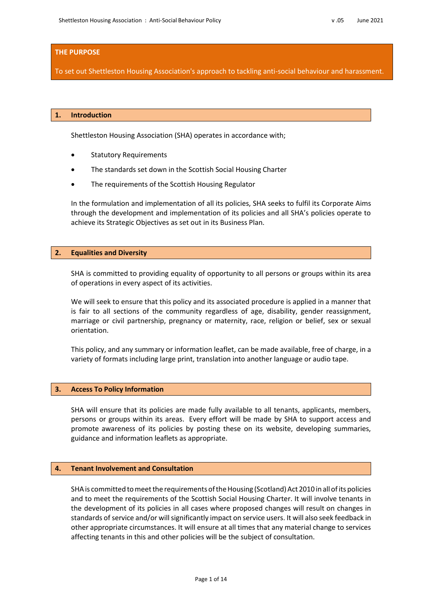### **THE PURPOSE**

To set out Shettleston Housing Association's approach to tackling anti-social behaviour and harassment.

## **1. Introduction**

Shettleston Housing Association (SHA) operates in accordance with;

- Statutory Requirements
- The standards set down in the Scottish Social Housing Charter
- The requirements of the Scottish Housing Regulator

In the formulation and implementation of all its policies, SHA seeks to fulfil its Corporate Aims through the development and implementation of its policies and all SHA's policies operate to achieve its Strategic Objectives as set out in its Business Plan.

#### **2. Equalities and Diversity**

SHA is committed to providing equality of opportunity to all persons or groups within its area of operations in every aspect of its activities.

We will seek to ensure that this policy and its associated procedure is applied in a manner that is fair to all sections of the community regardless of age, disability, gender reassignment, marriage or civil partnership, pregnancy or maternity, race, religion or belief, sex or sexual orientation.

This policy, and any summary or information leaflet, can be made available, free of charge, in a variety of formats including large print, translation into another language or audio tape.

#### **3. Access To Policy Information**

SHA will ensure that its policies are made fully available to all tenants, applicants, members, persons or groups within its areas. Every effort will be made by SHA to support access and promote awareness of its policies by posting these on its website, developing summaries, guidance and information leaflets as appropriate.

## **4. Tenant Involvement and Consultation**

SHA is committed to meet the requirements of the Housing (Scotland) Act 2010 in all of its policies and to meet the requirements of the Scottish Social Housing Charter. It will involve tenants in the development of its policies in all cases where proposed changes will result on changes in standards of service and/or will significantly impact on service users. It will also seek feedback in other appropriate circumstances. It will ensure at all times that any material change to services affecting tenants in this and other policies will be the subject of consultation.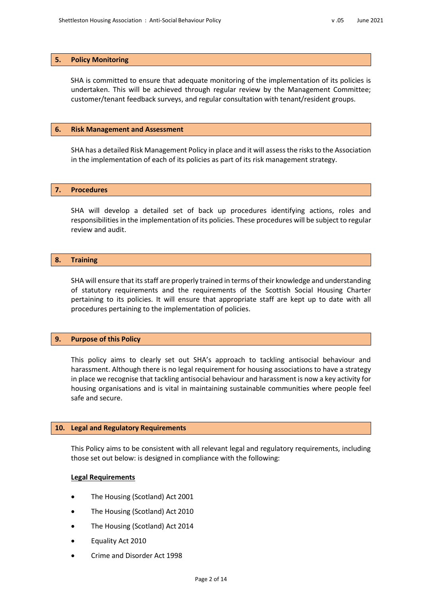## **5. Policy Monitoring**

SHA is committed to ensure that adequate monitoring of the implementation of its policies is undertaken. This will be achieved through regular review by the Management Committee; customer/tenant feedback surveys, and regular consultation with tenant/resident groups.

### **6. Risk Management and Assessment**

SHA has a detailed Risk Management Policy in place and it will assess the risks to the Association in the implementation of each of its policies as part of its risk management strategy.

## **7. Procedures**

SHA will develop a detailed set of back up procedures identifying actions, roles and responsibilities in the implementation of its policies. These procedures will be subject to regular review and audit.

## **8. Training**

SHA will ensure that its staff are properly trained in terms of their knowledge and understanding of statutory requirements and the requirements of the Scottish Social Housing Charter pertaining to its policies. It will ensure that appropriate staff are kept up to date with all procedures pertaining to the implementation of policies.

## **9. Purpose of this Policy**

This policy aims to clearly set out SHA's approach to tackling antisocial behaviour and harassment. Although there is no legal requirement for housing associations to have a strategy in place we recognise that tackling antisocial behaviour and harassment is now a key activity for housing organisations and is vital in maintaining sustainable communities where people feel safe and secure.

#### **10. Legal and Regulatory Requirements**

This Policy aims to be consistent with all relevant legal and regulatory requirements, including those set out below: is designed in compliance with the following:

#### **Legal Requirements**

- The Housing (Scotland) Act 2001
- The Housing (Scotland) Act 2010
- The Housing (Scotland) Act 2014
- Equality Act 2010
- Crime and Disorder Act 1998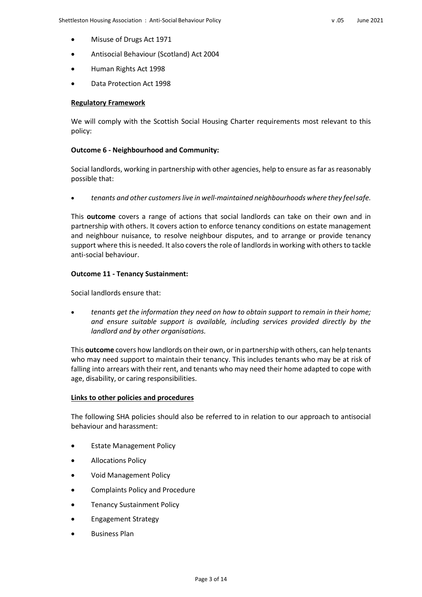- Misuse of Drugs Act 1971
- Antisocial Behaviour (Scotland) Act 2004
- Human Rights Act 1998
- Data Protection Act 1998

# **Regulatory Framework**

We will comply with the Scottish Social Housing Charter requirements most relevant to this policy:

# **Outcome 6 ‐ Neighbourhood and Community:**

Social landlords, working in partnership with other agencies, help to ensure as far as reasonably possible that:

*tenants and other customers live in well‐maintained neighbourhoods where they feelsafe.*

This **outcome** covers a range of actions that social landlords can take on their own and in partnership with others. It covers action to enforce tenancy conditions on estate management and neighbour nuisance, to resolve neighbour disputes, and to arrange or provide tenancy support where this is needed. It also covers the role of landlords in working with others to tackle anti‐social behaviour.

# **Outcome 11 ‐ Tenancy Sustainment:**

Social landlords ensure that:

 *tenants get the information they need on how to obtain support to remain in their home; and ensure suitable support is available, including services provided directly by the landlord and by other organisations.*

This **outcome** covers how landlords on their own, orin partnership with others, can help tenants who may need support to maintain their tenancy. This includes tenants who may be at risk of falling into arrears with their rent, and tenants who may need their home adapted to cope with age, disability, or caring responsibilities.

## **Links to other policies and procedures**

The following SHA policies should also be referred to in relation to our approach to antisocial behaviour and harassment:

- Estate Management Policy
- Allocations Policy
- Void Management Policy
- Complaints Policy and Procedure
- Tenancy Sustainment Policy
- Engagement Strategy
- Business Plan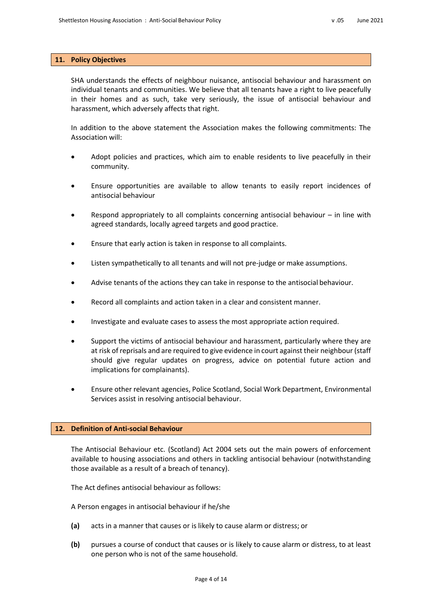## **11. Policy Objectives**

SHA understands the effects of neighbour nuisance, antisocial behaviour and harassment on individual tenants and communities. We believe that all tenants have a right to live peacefully in their homes and as such, take very seriously, the issue of antisocial behaviour and harassment, which adversely affects that right.

In addition to the above statement the Association makes the following commitments: The Association will:

- Adopt policies and practices, which aim to enable residents to live peacefully in their community.
- Ensure opportunities are available to allow tenants to easily report incidences of antisocial behaviour
- Respond appropriately to all complaints concerning antisocial behaviour in line with agreed standards, locally agreed targets and good practice.
- Ensure that early action is taken in response to all complaints.
- Listen sympathetically to all tenants and will not pre‐judge or make assumptions.
- Advise tenants of the actions they can take in response to the antisocial behaviour.
- Record all complaints and action taken in a clear and consistent manner.
- Investigate and evaluate cases to assess the most appropriate action required.
- Support the victims of antisocial behaviour and harassment, particularly where they are at risk ofreprisals and are required to give evidence in court against their neighbour (staff should give regular updates on progress, advice on potential future action and implications for complainants).
- Ensure other relevant agencies, Police Scotland, Social Work Department, Environmental Services assist in resolving antisocial behaviour.

# **12. Definition of Anti-social Behaviour**

The Antisocial Behaviour etc. (Scotland) Act 2004 sets out the main powers of enforcement available to housing associations and others in tackling antisocial behaviour (notwithstanding those available as a result of a breach of tenancy).

The Act defines antisocial behaviour as follows:

A Person engages in antisocial behaviour if he/she

- **(a)** acts in a manner that causes or is likely to cause alarm or distress; or
- **(b)** pursues a course of conduct that causes or is likely to cause alarm or distress, to at least one person who is not of the same household.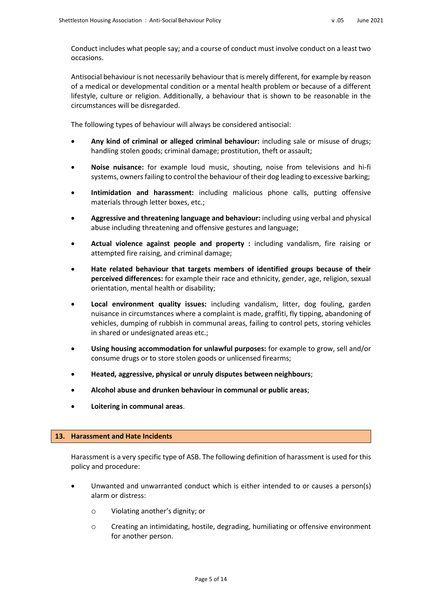Conduct includes what people say; and a course of conduct must involve conduct on a least two occasions.

Antisocial behaviour is not necessarily behaviour that is merely different, for example by reason of a medical or developmental condition or a mental health problem or because of a different lifestyle, culture or religion. Additionally, a behaviour that is shown to be reasonable in the circumstances will be disregarded.

The following types of behaviour will always be considered antisocial:

- **Any kind of criminal or alleged criminal behaviour:** including sale or misuse of drugs; handling stolen goods; criminal damage; prostitution, theft or assault;
- **Noise nuisance:** for example loud music, shouting, noise from televisions and hi‐fi systems, owners failing to control the behaviour of their dog leading to excessive barking;
- **Intimidation and harassment:** including malicious phone calls, putting offensive materials through letter boxes, etc.;
- **Aggressive and threatening language and behaviour:** including using verbal and physical abuse including threatening and offensive gestures and language;
- **Actual violence against people and property :** including vandalism, fire raising or attempted fire raising, and criminal damage;
- **Hate related behaviour that targets members of identified groups because of their perceived differences:** for example their race and ethnicity, gender, age, religion, sexual orientation, mental health or disability;
- **Local environment quality issues:** including vandalism, litter, dog fouling, garden nuisance in circumstances where a complaint is made, graffiti, fly tipping, abandoning of vehicles, dumping of rubbish in communal areas, failing to control pets, storing vehicles in shared or undesignated areas etc.;
- **Using housing accommodation for unlawful purposes:** for example to grow, sell and/or consume drugs or to store stolen goods or unlicensed firearms;
- **Heated, aggressive, physical or unruly disputes between neighbours**;
- **Alcohol abuse and drunken behaviour in communal or public areas**;
- **Loitering in communal areas**.

## **13. Harassment and Hate Incidents**

Harassment is a very specific type of ASB. The following definition of harassment is used for this policy and procedure:

- Unwanted and unwarranted conduct which is either intended to or causes a person(s) alarm or distress:
	- o Violating another's dignity; or
	- o Creating an intimidating, hostile, degrading, humiliating or offensive environment for another person.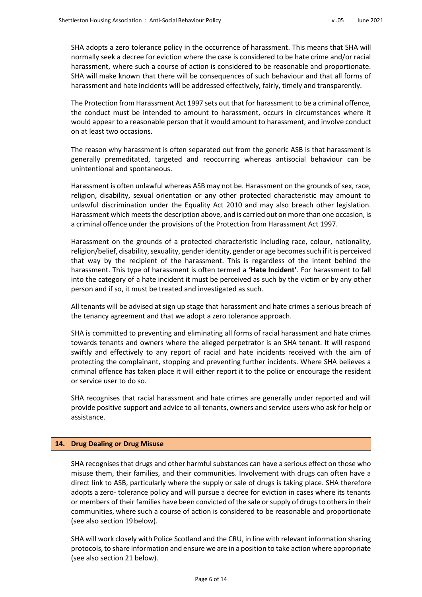SHA adopts a zero tolerance policy in the occurrence of harassment. This means that SHA will normally seek a decree for eviction where the case is considered to be hate crime and/or racial harassment, where such a course of action is considered to be reasonable and proportionate. SHA will make known that there will be consequences of such behaviour and that all forms of harassment and hate incidents will be addressed effectively, fairly, timely and transparently.

The Protection from Harassment Act 1997 sets out that for harassment to be a criminal offence, the conduct must be intended to amount to harassment, occurs in circumstances where it would appear to a reasonable person that it would amount to harassment, and involve conduct on at least two occasions.

The reason why harassment is often separated out from the generic ASB is that harassment is generally premeditated, targeted and reoccurring whereas antisocial behaviour can be unintentional and spontaneous.

Harassment is often unlawful whereas ASB may not be. Harassment on the grounds of sex, race, religion, disability, sexual orientation or any other protected characteristic may amount to unlawful discrimination under the Equality Act 2010 and may also breach other legislation. Harassment which meets the description above, and is carried out on more than one occasion, is a criminal offence under the provisions of the Protection from Harassment Act 1997.

Harassment on the grounds of a protected characteristic including race, colour, nationality, religion/belief, disability, sexuality, gender identity, gender or age becomes such if it is perceived that way by the recipient of the harassment. This is regardless of the intent behind the harassment. This type of harassment is often termed a **'Hate Incident'**. For harassment to fall into the category of a hate incident it must be perceived as such by the victim or by any other person and if so, it must be treated and investigated as such.

All tenants will be advised at sign up stage that harassment and hate crimes a serious breach of the tenancy agreement and that we adopt a zero tolerance approach.

SHA is committed to preventing and eliminating all forms of racial harassment and hate crimes towards tenants and owners where the alleged perpetrator is an SHA tenant. It will respond swiftly and effectively to any report of racial and hate incidents received with the aim of protecting the complainant, stopping and preventing further incidents. Where SHA believes a criminal offence has taken place it will either report it to the police or encourage the resident or service user to do so.

SHA recognises that racial harassment and hate crimes are generally under reported and will provide positive support and advice to all tenants, owners and service users who ask for help or assistance.

# **14. Drug Dealing or Drug Misuse**

SHA recognises that drugs and other harmful substances can have a serious effect on those who misuse them, their families, and their communities. Involvement with drugs can often have a direct link to ASB, particularly where the supply or sale of drugs is taking place. SHA therefore adopts a zero- tolerance policy and will pursue a decree for eviction in cases where its tenants or members of their families have been convicted of the sale or supply of drugs to others in their communities, where such a course of action is considered to be reasonable and proportionate (see also section 19below).

SHA will work closely with Police Scotland and the CRU, in line with relevant information sharing protocols, to share information and ensure we are in a position to take action where appropriate (see also section 21 below).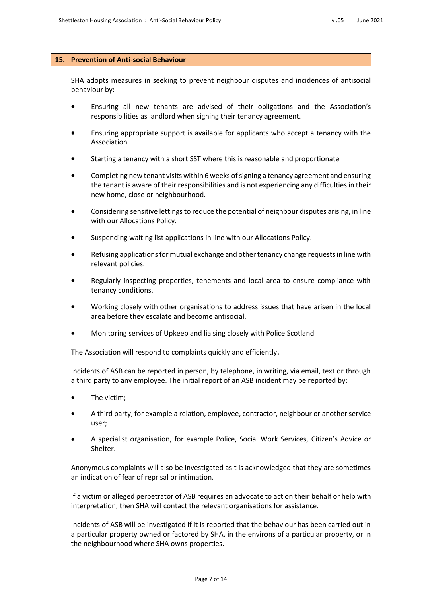## **15. Prevention of Anti-social Behaviour**

SHA adopts measures in seeking to prevent neighbour disputes and incidences of antisocial behaviour by:‐

- Ensuring all new tenants are advised of their obligations and the Association's responsibilities as landlord when signing their tenancy agreement.
- Ensuring appropriate support is available for applicants who accept a tenancy with the Association
- Starting a tenancy with a short SST where this is reasonable and proportionate
- Completing new tenant visits within 6 weeks of signing a tenancy agreement and ensuring the tenant is aware of their responsibilities and is not experiencing any difficulties in their new home, close or neighbourhood.
- Considering sensitive lettings to reduce the potential of neighbour disputes arising, in line with our Allocations Policy.
- Suspending waiting list applications in line with our Allocations Policy.
- Refusing applications for mutual exchange and other tenancy change requests in line with relevant policies.
- Regularly inspecting properties, tenements and local area to ensure compliance with tenancy conditions.
- Working closely with other organisations to address issues that have arisen in the local area before they escalate and become antisocial.
- Monitoring services of Upkeep and liaising closely with Police Scotland

The Association will respond to complaints quickly and efficiently**.**

Incidents of ASB can be reported in person, by telephone, in writing, via email, text or through a third party to any employee. The initial report of an ASB incident may be reported by:

- The victim;
- A third party, for example a relation, employee, contractor, neighbour or another service user;
- A specialist organisation, for example Police, Social Work Services, Citizen's Advice or Shelter.

Anonymous complaints will also be investigated as t is acknowledged that they are sometimes an indication of fear of reprisal or intimation.

If a victim or alleged perpetrator of ASB requires an advocate to act on their behalf or help with interpretation, then SHA will contact the relevant organisations for assistance.

Incidents of ASB will be investigated if it is reported that the behaviour has been carried out in a particular property owned or factored by SHA, in the environs of a particular property, or in the neighbourhood where SHA owns properties.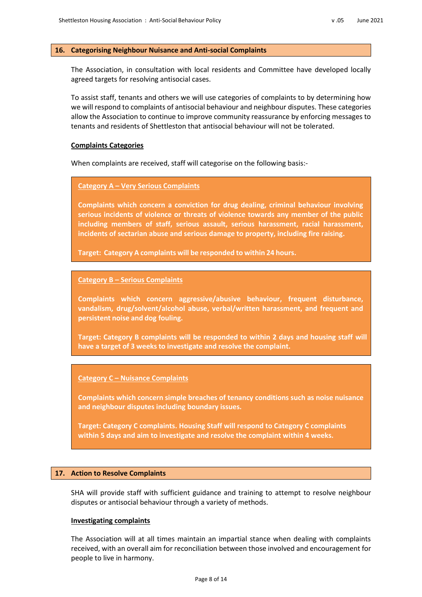## **16. Categorising Neighbour Nuisance and Anti-social Complaints**

The Association, in consultation with local residents and Committee have developed locally agreed targets for resolving antisocial cases.

To assist staff, tenants and others we will use categories of complaints to by determining how we will respond to complaints of antisocial behaviour and neighbour disputes. These categories allow the Association to continue to improve community reassurance by enforcing messages to tenants and residents of Shettleston that antisocial behaviour will not be tolerated.

## **Complaints Categories**

When complaints are received, staff will categorise on the following basis:‐

# **Category A – Very Serious Complaints**

**Complaints which concern a conviction for drug dealing, criminal behaviour involving serious incidents of violence or threats of violence towards any member of the public including members of staff, serious assault, serious harassment, racial harassment, incidents of sectarian abuse and serious damage to property, including fire raising.**

**Target: Category A complaints will be responded to within 24 hours.**

### **Category B – Serious Complaints**

**Complaints which concern aggressive/abusive behaviour, frequent disturbance, vandalism, drug/solvent/alcohol abuse, verbal/written harassment, and frequent and persistent noise and dog fouling.**

**Target: Category B complaints will be responded to within 2 days and housing staff will have a target of 3 weeks to investigate and resolve the complaint.**

## **Category C – Nuisance Complaints**

**Complaints which concern simple breaches of tenancy conditions such as noise nuisance and neighbour disputes including boundary issues.**

**Target: Category C complaints. Housing Staff will respond to Category C complaints within 5 days and aim to investigate and resolve the complaint within 4 weeks.**

#### **17. Action to Resolve Complaints**

SHA will provide staff with sufficient guidance and training to attempt to resolve neighbour disputes or antisocial behaviour through a variety of methods.

#### **Investigating complaints**

The Association will at all times maintain an impartial stance when dealing with complaints received, with an overall aim for reconciliation between those involved and encouragement for people to live in harmony.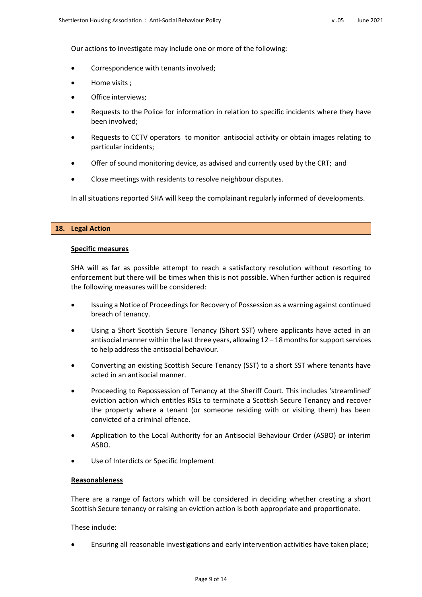Our actions to investigate may include one or more of the following:

- Correspondence with tenants involved;
- Home visits ;
- Office interviews;
- Requests to the Police for information in relation to specific incidents where they have been involved;
- Requests to CCTV operators to monitor antisocial activity or obtain images relating to particular incidents;
- Offer of sound monitoring device, as advised and currently used by the CRT; and
- Close meetings with residents to resolve neighbour disputes.

In all situations reported SHA will keep the complainant regularly informed of developments.

## **18. Legal Action**

## **Specific measures**

SHA will as far as possible attempt to reach a satisfactory resolution without resorting to enforcement but there will be times when this is not possible. When further action is required the following measures will be considered:

- Issuing a Notice of Proceedings for Recovery of Possession as a warning against continued breach of tenancy.
- Using a Short Scottish Secure Tenancy (Short SST) where applicants have acted in an antisocial manner within the last three years, allowing  $12 - 18$  months for support services to help address the antisocial behaviour.
- Converting an existing Scottish Secure Tenancy (SST) to a short SST where tenants have acted in an antisocial manner.
- Proceeding to Repossession of Tenancy at the Sheriff Court. This includes 'streamlined' eviction action which entitles RSLs to terminate a Scottish Secure Tenancy and recover the property where a tenant (or someone residing with or visiting them) has been convicted of a criminal offence.
- Application to the Local Authority for an Antisocial Behaviour Order (ASBO) or interim ASBO.
- Use of Interdicts or Specific Implement

## **Reasonableness**

There are a range of factors which will be considered in deciding whether creating a short Scottish Secure tenancy or raising an eviction action is both appropriate and proportionate.

These include:

Ensuring all reasonable investigations and early intervention activities have taken place;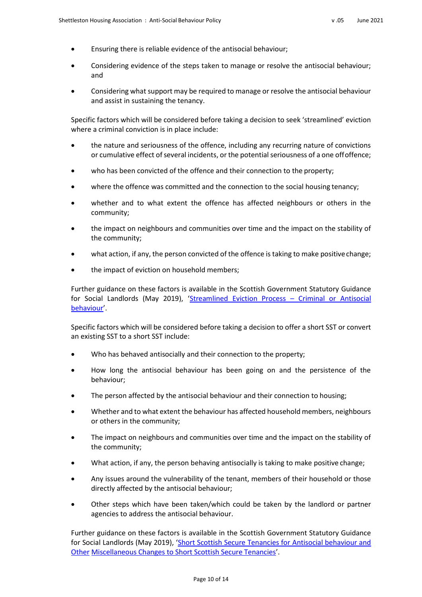- Ensuring there is reliable evidence of the antisocial behaviour;
- Considering evidence of the steps taken to manage or resolve the antisocial behaviour; and
- Considering what support may be required to manage or resolve the antisocial behaviour and assist in sustaining the tenancy.

Specific factors which will be considered before taking a decision to seek 'streamlined' eviction where a criminal conviction is in place include:

- the nature and seriousness of the offence, including any recurring nature of convictions or cumulative effect of several incidents, or the potential seriousness of a one offoffence;
- who has been convicted of the offence and their connection to the property;
- where the offence was committed and the connection to the social housing tenancy;
- whether and to what extent the offence has affected neighbours or others in the community;
- the impact on neighbours and communities over time and the impact on the stability of the community;
- what action, if any, the person convicted of the offence is taking to make positivechange;
- the impact of eviction on household members;

Further guidance on these factors is available in the Scottish Government Statutory Guidance for Social Landlords (May 2019), 'Streamlined Eviction Process – Criminal or Antisocial behaviour'.

Specific factors which will be considered before taking a decision to offer a short SST or convert an existing SST to a short SST include:

- Who has behaved antisocially and their connection to the property;
- How long the antisocial behaviour has been going on and the persistence of the behaviour;
- The person affected by the antisocial behaviour and their connection to housing;
- Whether and to what extent the behaviour has affected household members, neighbours or others in the community;
- The impact on neighbours and communities over time and the impact on the stability of the community;
- What action, if any, the person behaving antisocially is taking to make positive change;
- Any issues around the vulnerability of the tenant, members of their household or those directly affected by the antisocial behaviour;
- Other steps which have been taken/which could be taken by the landlord or partner agencies to address the antisocial behaviour.

Further guidance on these factors is available in the Scottish Government Statutory Guidance for Social Landlords (May 2019), 'Short Scottish Secure Tenancies for Antisocial behaviour and Other Miscellaneous Changes to Short Scottish Secure Tenancies'.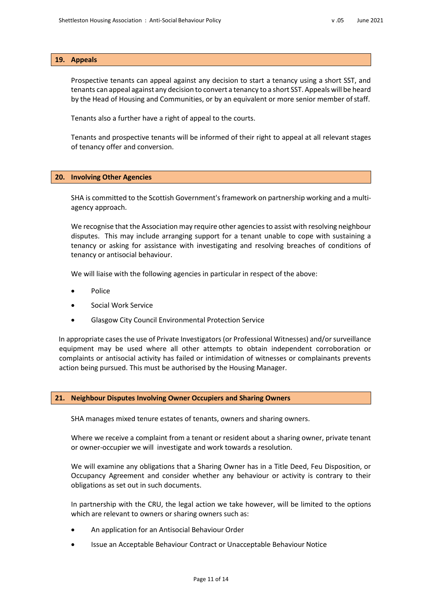### **19. Appeals**

Prospective tenants can appeal against any decision to start a tenancy using a short SST, and tenants can appeal against any decision to convert a tenancy to a short SST. Appeals will be heard by the Head of Housing and Communities, or by an equivalent or more senior member ofstaff.

Tenants also a further have a right of appeal to the courts.

Tenants and prospective tenants will be informed of their right to appeal at all relevant stages of tenancy offer and conversion.

#### **20. Involving Other Agencies**

SHA is committed to the Scottish Government's framework on partnership working and a multi‐ agency approach.

We recognise that the Association may require other agencies to assist with resolving neighbour disputes. This may include arranging support for a tenant unable to cope with sustaining a tenancy or asking for assistance with investigating and resolving breaches of conditions of tenancy or antisocial behaviour.

We will liaise with the following agencies in particular in respect of the above:

- Police
- Social Work Service
- Glasgow City Council Environmental Protection Service

In appropriate cases the use of Private Investigators (or Professional Witnesses) and/or surveillance equipment may be used where all other attempts to obtain independent corroboration or complaints or antisocial activity has failed or intimidation of witnesses or complainants prevents action being pursued. This must be authorised by the Housing Manager.

### **21. Neighbour Disputes Involving Owner Occupiers and Sharing Owners**

SHA manages mixed tenure estates of tenants, owners and sharing owners.

Where we receive a complaint from a tenant or resident about a sharing owner, private tenant or owner‐occupier we will investigate and work towards a resolution.

We will examine any obligations that a Sharing Owner has in a Title Deed, Feu Disposition, or Occupancy Agreement and consider whether any behaviour or activity is contrary to their obligations as set out in such documents.

In partnership with the CRU, the legal action we take however, will be limited to the options which are relevant to owners or sharing owners such as:

- An application for an Antisocial Behaviour Order
- Issue an Acceptable Behaviour Contract or Unacceptable Behaviour Notice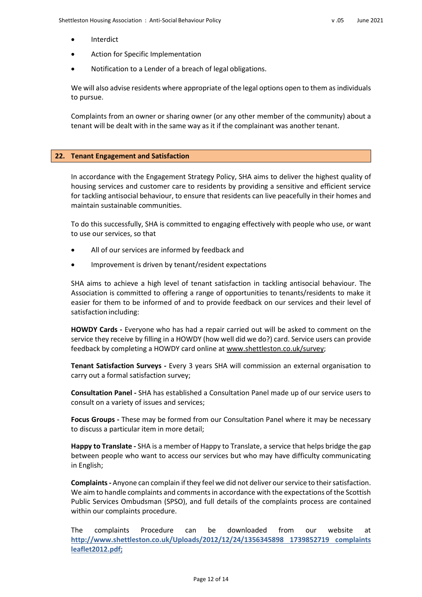- Interdict
- Action for Specific Implementation
- Notification to a Lender of a breach of legal obligations.

We will also advise residents where appropriate of the legal options open to them as individuals to pursue.

Complaints from an owner or sharing owner (or any other member of the community) about a tenant will be dealt with in the same way as it if the complainant was another tenant.

# **22. Tenant Engagement and Satisfaction**

In accordance with the Engagement Strategy Policy, SHA aims to deliver the highest quality of housing services and customer care to residents by providing a sensitive and efficient service for tackling antisocial behaviour, to ensure that residents can live peacefully in their homes and maintain sustainable communities.

To do this successfully, SHA is committed to engaging effectively with people who use, or want to use our services, so that

- All of our services are informed by feedback and
- Improvement is driven by tenant/resident expectations

SHA aims to achieve a high level of tenant satisfaction in tackling antisocial behaviour. The Association is committed to offering a range of opportunities to tenants/residents to make it easier for them to be informed of and to provide feedback on our services and their level of satisfaction including:

**HOWDY Cards ‐** Everyone who has had a repair carried out will be asked to comment on the service they receive by filling in a HOWDY (how well did we do?) card. Service users can provide feedback by completing a HOWDY card online a[t www.shettleston.co.uk/survey;](http://www.shettleston.co.uk/survey%3B)

**Tenant Satisfaction Surveys ‐** Every 3 years SHA will commission an external organisation to carry out a formal satisfaction survey;

**Consultation Panel ‐** SHA has established a Consultation Panel made up of our service users to consult on a variety of issues and services;

**Focus Groups ‐** These may be formed from our Consultation Panel where it may be necessary to discuss a particular item in more detail;

**Happy to Translate ‐** SHA is a member of Happy to Translate, a service that helps bridge the gap between people who want to access our services but who may have difficulty communicating in English;

**Complaints ‐** Anyone can complain if they feel we did not deliver our service to their satisfaction. We aim to handle complaints and comments in accordance with the expectations of the Scottish Public Services Ombudsman (SPSO), and full details of the complaints process are contained within our complaints procedure.

The complaints Procedure can be downloaded from our website at **<http://www.shettleston.co.uk/Uploads/2012/12/24/1356345898> 1739852719 complaints leaflet2012.pdf;**